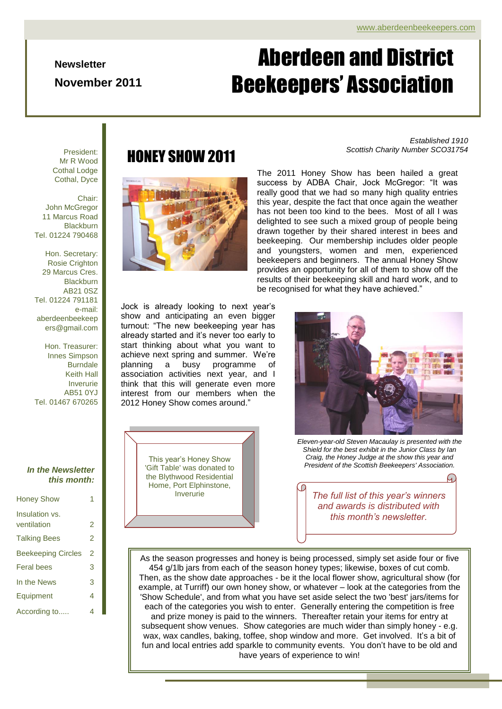#### **Newsletter**

**November 2011**

# Page 1 of 4 ADBA Newsletter Aberdeen and District Beekeepers' Association

President: Mr R Wood Cothal Lodge Cothal, Dyce

#### Chair: John McGregor 11 Marcus Road **Blackburn** Tel. 01224 790468

Hon. Secretary: Rosie Crighton 29 Marcus Cres. **Blackburn** AB21 0SZ Tel. 01224 791181 e-mail: aberdeenbeekeep ers@gmail.com

Hon. Treasurer: Innes Simpson Burndale Keith Hall Inverurie AB51 0YJ Tel. 01467 670265

### *In the Newsletter this month:*

| <b>Honey Show</b>             | 1              |
|-------------------------------|----------------|
| Insulation vs.<br>ventilation | 2              |
| Talking Bees                  | $\mathfrak{p}$ |
| <b>Beekeeping Circles</b>     | 2              |
| Feral bees                    | 3              |
| In the News                   | 3              |
| Equipment                     | 4              |
| According to                  | 4              |

# *Scottish Charity Number SCO31754* HONEY SHOW 2011



*Established 1910*

The 2011 Honey Show has been hailed a great success by ADBA Chair, Jock McGregor: "It was really good that we had so many high quality entries this year, despite the fact that once again the weather has not been too kind to the bees. Most of all I was delighted to see such a mixed group of people being drawn together by their shared interest in bees and beekeeping. Our membership includes older people and youngsters, women and men, experienced beekeepers and beginners. The annual Honey Show provides an opportunity for all of them to show off the results of their beekeeping skill and hard work, and to be recognised for what they have achieved."

Jock is already looking to next year's show and anticipating an even bigger turnout: "The new beekeeping year has already started and it's never too early to start thinking about what you want to achieve next spring and summer. We're planning a busy programme of association activities next year, and I think that this will generate even more interest from our members when the 2012 Honey Show comes around."





*Eleven-year-old Steven Macaulay is presented with the Shield for the best exhibit in the Junior Class by Ian Craig, the Honey Judge at the show this year and President of the Scottish Beekeepers' Association.*

and awards is distributed with *The full list of this year's winners this month's newsletter.*

Then, as the show date approaches - be it the local flower show, agricultural show (for As the season progresses and honey is being processed, simply set aside four or five 454 g/1lb jars from each of the season honey types; likewise, boxes of cut comb. example, at Turriff) our own honey show, or whatever – look at the categories from the 'Show Schedule', and from what you have set aside select the two 'best' jars/items for each of the categories you wish to enter. Generally entering the competition is free and prize money is paid to the winners. Thereafter retain your items for entry at subsequent show venues. Show categories are much wider than simply honey - e.g. wax, wax candles, baking, toffee, shop window and more. Get involved. It's a bit of fun and local entries add sparkle to community events. You don't have to be old and have years of experience to win!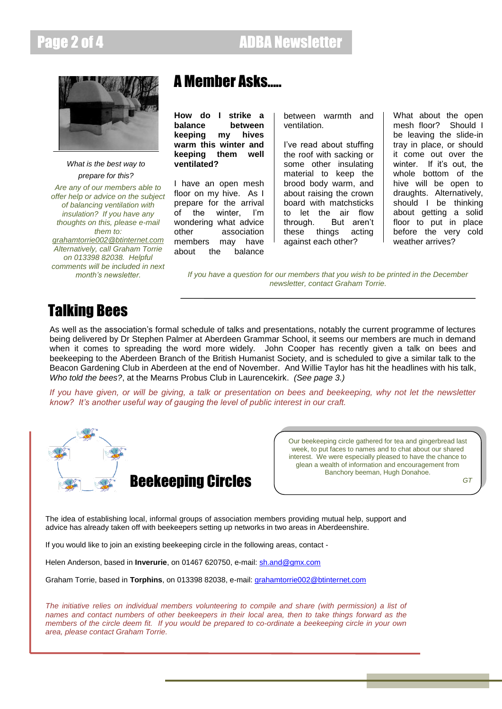

*What is the best way to prepare for this?*

*Are any of our members able to offer help or advice on the subject of balancing ventilation with insulation? If you have any thoughts on this, please e-mail them to: [grahamtorrie002@btinternet.com](mailto:grahamtorrie002@btinternet.com)  Alternatively, call Graham Torrie on 013398 82038. Helpful comments will be included in next month's newsletter.*

# A Member Asks…..

**How do I strike a balance between keeping my hives warm this winter and keeping them well ventilated?**

I have an open mesh floor on my hive. As I prepare for the arrival of the winter, I'm wondering what advice other association members may have about the balance

between warmth and ventilation.

I've read about stuffing the roof with sacking or some other insulating material to keep the brood body warm, and about raising the crown board with matchsticks to let the air flow through. But aren't these things acting against each other?

What about the open mesh floor? Should I be leaving the slide-in tray in place, or should it come out over the winter. If it's out, the whole bottom of the hive will be open to draughts. Alternatively, should I be thinking about getting a solid floor to put in place before the very cold weather arrives?

*If you have a question for our members that you wish to be printed in the December newsletter, contact Graham Torrie.*

# Talking Bees

As well as the association's formal schedule of talks and presentations, notably the current programme of lectures being delivered by Dr Stephen Palmer at Aberdeen Grammar School, it seems our members are much in demand when it comes to spreading the word more widely. John Cooper has recently given a talk on bees and beekeeping to the Aberdeen Branch of the British Humanist Society, and is scheduled to give a similar talk to the Beacon Gardening Club in Aberdeen at the end of November. And Willie Taylor has hit the headlines with his talk, *Who told the bees?*, at the Mearns Probus Club in Laurencekirk. *(See page 3.)*

*If you have given, or will be giving, a talk or presentation on bees and beekeeping, why not let the newsletter know? It's another useful way of gauging the level of public interest in our craft.*



Our beekeeping circle gathered for tea and gingerbread last week, to put faces to names and to chat about our shared interest. We were especially pleased to have the chance to glean a wealth of information and encouragement from Banchory beeman, Hugh Donahoe.

*GT*

The idea of establishing local, informal groups of association members providing mutual help, support and advice has already taken off with beekeepers setting up networks in two areas in Aberdeenshire.

If you would like to join an existing beekeeping circle in the following areas, contact -

Helen Anderson, based in **Inverurie**, on 01467 620750, e-mail[: sh.and@gmx.com](mailto:sh.and@gmx.com)

Graham Torrie, based in **Torphins**, on 013398 82038, e-mail: [grahamtorrie002@btinternet.com](mailto:grahamtorrie002@btinternet.com)

*The initiative relies on individual members volunteering to compile and share (with permission) a list of names and contact numbers of other beekeepers in their local area, then to take things forward as the members of the circle deem fit. If you would be prepared to co-ordinate a beekeeping circle in your own area, please contact Graham Torrie.*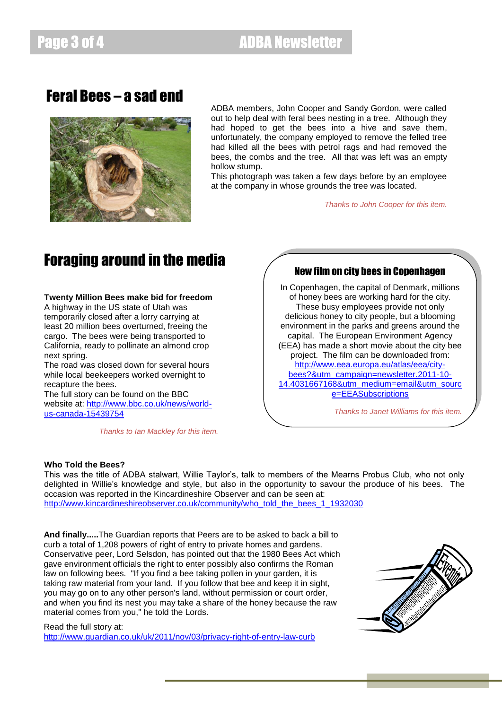## Feral Bees – a sad end



ADBA members, John Cooper and Sandy Gordon, were called out to help deal with feral bees nesting in a tree. Although they had hoped to get the bees into a hive and save them, unfortunately, the company employed to remove the felled tree had killed all the bees with petrol rags and had removed the bees, the combs and the tree. All that was left was an empty hollow stump.

This photograph was taken a few days before by an employee at the company in whose grounds the tree was located.

*Thanks to John Cooper for this item.*

# Foraging around in the media

### **Twenty Million Bees make bid for freedom**

A highway in the US state of Utah was temporarily closed after a lorry carrying at least 20 million bees overturned, freeing the cargo. The bees were being transported to California, ready to pollinate an almond crop next spring.

The road was closed down for several hours while local beekeepers worked overnight to recapture the bees.

The full story can be found on the BBC website at: [http://www.bbc.co.uk/news/world](http://www.bbc.co.uk/news/world-us-canada-15439754)[us-canada-15439754](http://www.bbc.co.uk/news/world-us-canada-15439754)

*Thanks to Ian Mackley for this item.*

## New film on city bees in Copenhagen

In Copenhagen, the capital of Denmark, millions of honey bees are working hard for the city. These busy employees provide not only delicious honey to city people, but a blooming environment in the parks and greens around the capital. The European Environment Agency (EEA) has made a short movie about the city bee project. The film can be downloaded from: [http://www.eea.europa.eu/atlas/eea/city](http://www.eea.europa.eu/atlas/eea/city-bees?&utm_campaign=newsletter.2011-10-14.4031667168&utm_medium=email&utm_source=EEASubscriptions)[bees?&utm\\_campaign=newsletter.2011-10-](http://www.eea.europa.eu/atlas/eea/city-bees?&utm_campaign=newsletter.2011-10-14.4031667168&utm_medium=email&utm_source=EEASubscriptions) [14.4031667168&utm\\_medium=email&utm\\_sourc](http://www.eea.europa.eu/atlas/eea/city-bees?&utm_campaign=newsletter.2011-10-14.4031667168&utm_medium=email&utm_source=EEASubscriptions) [e=EEASubscriptions](http://www.eea.europa.eu/atlas/eea/city-bees?&utm_campaign=newsletter.2011-10-14.4031667168&utm_medium=email&utm_source=EEASubscriptions)

*Thanks to Janet Williams for this item.*

### **Who Told the Bees?**

This was the title of ADBA stalwart, Willie Taylor's, talk to members of the Mearns Probus Club, who not only delighted in Willie's knowledge and style, but also in the opportunity to savour the produce of his bees. The occasion was reported in the Kincardineshire Observer and can be seen at: [http://www.kincardineshireobserver.co.uk/community/who\\_told\\_the\\_bees\\_1\\_1932030](http://www.kincardineshireobserver.co.uk/community/who_told_the_bees_1_1932030)

**And finally.....**The Guardian reports that Peers are to be asked to back a bill to curb a total of 1,208 powers of right of entry to private homes and gardens. Conservative peer, Lord Selsdon, has pointed out that the 1980 Bees Act which gave environment officials the right to enter possibly also confirms the Roman law on following bees. "If you find a bee taking pollen in your garden, it is taking raw material from your land. If you follow that bee and keep it in sight, you may go on to any other person's land, without permission or court order, and when you find its nest you may take a share of the honey because the raw material comes from you," he told the Lords.



#### Read the full story at:

<http://www.guardian.co.uk/uk/2011/nov/03/privacy-right-of-entry-law-curb>